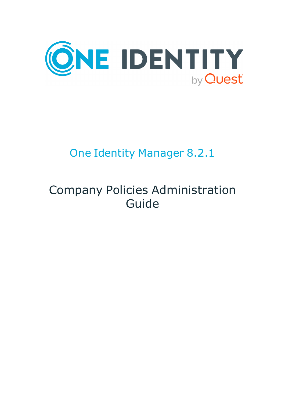

# One Identity Manager 8.2.1

# Company Policies Administration Guide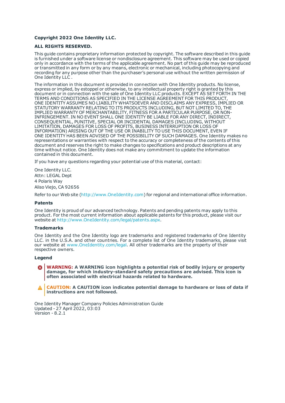#### **Copyright 2022 One Identity LLC.**

#### **ALL RIGHTS RESERVED.**

This guide contains proprietary information protected by copyright. The software described in this guide is furnished under a software license or nondisclosure agreement. This software may be used or copied only in accordance with the terms of the applicable agreement. No part of this guide may be reproduced or transmitted in any form or by any means, electronic or mechanical, including photocopying and recording for any purpose other than the purchaser's personal use without the written permission of One Identity LLC .

The information in this document is provided in connection with One Identity products. No license, express or implied, by estoppel or otherwise, to any intellectual property right is granted by this document or in connection with the sale of One Identity LLC products. EXCEPT AS SET FORTH IN THE TERMS AND CONDITIONS AS SPECIFIED IN THE LICENSE AGREEMENT FOR THIS PRODUCT, ONE IDENTITY ASSUMES NO LIABILITY WHATSOEVER AND DISCLAIMS ANY EXPRESS, IMPLIED OR STATUTORY WARRANTY RELATING TO ITS PRODUCTS INCLUDING, BUT NOT LIMITED TO, THE IMPLIED WARRANTY OF MERCHANTABILITY, FITNESS FOR A PARTICULAR PURPOSE, OR NON-INFRINGEMENT. IN NO EVENT SHALL ONE IDENTITY BE LIABLE FOR ANY DIRECT, INDIRECT, CONSEQUENTIAL, PUNITIVE, SPECIAL OR INCIDENTAL DAMAGES (INCLUDING, WITHOUT LIMITATION, DAMAGES FOR LOSS OF PROFITS, BUSINESS INTERRUPTION OR LOSS OF INFORMATION) ARISING OUT OF THE USE OR INABILITY TO USE THIS DOCUMENT, EVEN IF ONE IDENTITY HAS BEEN ADVISED OF THE POSSIBILITY OF SUCH DAMAGES. One Identity makes no representations or warranties with respect to the accuracy or completeness of the contents of this document and reserves the right to make changes to specifications and product descriptions at any time without notice. One Identity does not make any commitment to update the information contained in this document.

If you have any questions regarding your potential use of this material, contact:

One Identity LLC. Attn: LEGAL Dept 4 Polaris Way Aliso Viejo, CA 92656

Refer to our Web site ([http://www.OneIdentity.com](http://www.oneidentity.com/)) for regional and international office information.

#### **Patents**

One Identity is proud of our advanced technology. Patents and pending patents may apply to this product. For the most current information about applicable patents for this product, please visit our website at [http://www.OneIdentity.com/legal/patents.aspx](http://www.oneidentity.com/legal/patents.aspx).

#### **Trademarks**

One Identity and the One Identity logo are trademarks and registered trademarks of One Identity LLC. in the U.S.A. and other countries. For a complete list of One Identity trademarks, please visit our website at [www.OneIdentity.com/legal](http://www.oneidentity.com/legal). All other trademarks are the property of their respective owners.

#### **Legend**

**WARNING: A WARNING icon highlights a potential risk of bodily injury or property damage, for which industry-standard safety precautions are advised. This icon is often associated with electrical hazards related to hardware.**

**CAUTION: A CAUTION icon indicates potential damage to hardware or loss of data if** A **instructions are not followed.**

One Identity Manager Company Policies Administration Guide Updated - 27 April 2022, 03:03 Version - 8.2.1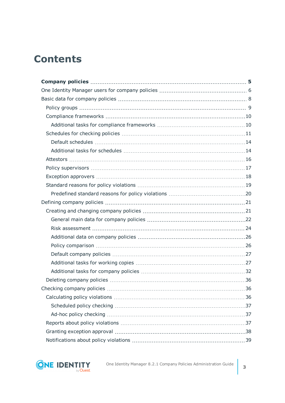# **Contents**

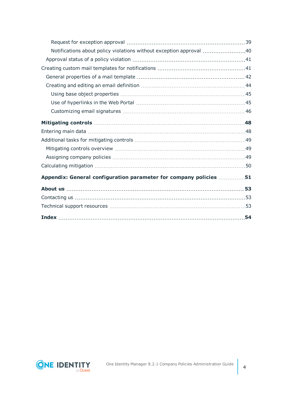| Notifications about policy violations without exception approval 40 |     |
|---------------------------------------------------------------------|-----|
|                                                                     |     |
|                                                                     |     |
|                                                                     |     |
|                                                                     |     |
|                                                                     |     |
|                                                                     |     |
|                                                                     |     |
|                                                                     |     |
|                                                                     |     |
|                                                                     |     |
|                                                                     |     |
|                                                                     |     |
|                                                                     |     |
| Appendix: General configuration parameter for company policies 51   |     |
|                                                                     |     |
|                                                                     |     |
|                                                                     |     |
|                                                                     | .54 |

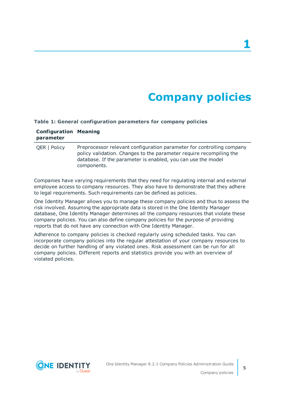# **Company policies**

#### <span id="page-4-0"></span>**Table 1: General configuration parameters for company policies**

| <b>Configuration Meaning</b><br>parameter |                                                                                                                                                                                                                             |
|-------------------------------------------|-----------------------------------------------------------------------------------------------------------------------------------------------------------------------------------------------------------------------------|
| <b>QER   Policy</b>                       | Preprocessor relevant configuration parameter for controlling company<br>policy validation. Changes to the parameter require recompiling the<br>database. If the parameter is enabled, you can use the model<br>components. |

Companies have varying requirements that they need for regulating internal and external employee access to company resources. They also have to demonstrate that they adhere to legal requirements. Such requirements can be defined as policies.

One Identity Manager allows you to manage these company policies and thus to assess the risk involved. Assuming the appropriate data is stored in the One Identity Manager database, One Identity Manager determines all the company resources that violate these company policies. You can also define company policies for the purpose of providing reports that do not have any connection with One Identity Manager.

Adherence to company policies is checked regularly using scheduled tasks. You can incorporate company policies into the regular attestation of your company resources to decide on further handling of any violated ones. Risk assessment can be run for all company policies. Different reports and statistics provide you with an overview of violated policies.

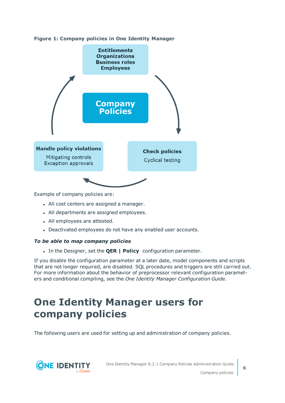



Example of company policies are:

- All cost centers are assigned a manager.
- All departments are assigned employees.
- All employees are attested.
- Deactivated employees do not have any enabled user accounts.

### *To be able to map company policies*

<sup>l</sup> In the Designer, set the **QER | Policy**  configuration parameter.

If you disable the configuration parameter at a later date, model components and scripts that are not longer required, are disabled. SQL procedures and triggers are still carried out. For more information about the behavior of preprocessor relevant configuration parameters and conditional compiling, see the *One Identity Manager Configuration Guide*.

# <span id="page-5-0"></span>**One Identity Manager users for company policies**

The following users are used for setting up and administration of company policies.

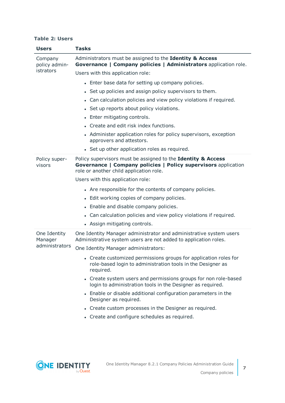#### **Table 2: Users**

| <b>Users</b>             | <b>Tasks</b>                                                                                                                                                              |
|--------------------------|---------------------------------------------------------------------------------------------------------------------------------------------------------------------------|
| Company<br>policy admin- | Administrators must be assigned to the Identity & Access<br>Governance   Company policies   Administrators application role.                                              |
| istrators                | Users with this application role:                                                                                                                                         |
|                          | • Enter base data for setting up company policies.                                                                                                                        |
|                          | • Set up policies and assign policy supervisors to them.                                                                                                                  |
|                          | • Can calculation policies and view policy violations if required.                                                                                                        |
|                          | • Set up reports about policy violations.                                                                                                                                 |
|                          | • Enter mitigating controls.                                                                                                                                              |
|                          | • Create and edit risk index functions.                                                                                                                                   |
|                          | • Administer application roles for policy supervisors, exception<br>approvers and attestors.                                                                              |
|                          | • Set up other application roles as required.                                                                                                                             |
| Policy super-<br>visors  | Policy supervisors must be assigned to the Identity & Access<br>Governance   Company policies   Policy supervisors application<br>role or another child application role. |
|                          | Users with this application role:                                                                                                                                         |
|                          | • Are responsible for the contents of company policies.                                                                                                                   |
|                          | • Edit working copies of company policies.                                                                                                                                |
|                          | • Enable and disable company policies.                                                                                                                                    |
|                          | • Can calculation policies and view policy violations if required.                                                                                                        |
|                          | • Assign mitigating controls.                                                                                                                                             |
| One Identity<br>Manager  | One Identity Manager administrator and administrative system users<br>Administrative system users are not added to application roles.                                     |
| administrators           | One Identity Manager administrators:                                                                                                                                      |
|                          | • Create customized permissions groups for application roles for<br>role-based login to administration tools in the Designer as<br>required.                              |
|                          | • Create system users and permissions groups for non role-based<br>login to administration tools in the Designer as required.                                             |
|                          | • Enable or disable additional configuration parameters in the<br>Designer as required.                                                                                   |
|                          | • Create custom processes in the Designer as required.                                                                                                                    |
|                          | • Create and configure schedules as required.                                                                                                                             |

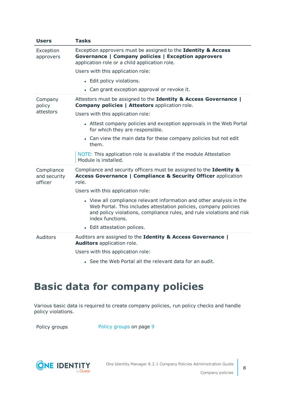| <b>Users</b>                          | <b>Tasks</b>                                                                                                                                                                                                                          |
|---------------------------------------|---------------------------------------------------------------------------------------------------------------------------------------------------------------------------------------------------------------------------------------|
| Exception<br>approvers                | Exception approvers must be assigned to the Identity & Access<br>Governance   Company policies   Exception approvers<br>application role or a child application role.                                                                 |
|                                       | Users with this application role:                                                                                                                                                                                                     |
|                                       | • Edit policy violations.                                                                                                                                                                                                             |
|                                       | • Can grant exception approval or revoke it.                                                                                                                                                                                          |
| Company<br>policy                     | Attestors must be assigned to the Identity & Access Governance  <br><b>Company policies   Attestors application role.</b>                                                                                                             |
| attestors                             | Users with this application role:                                                                                                                                                                                                     |
|                                       | • Attest company policies and exception approvals in the Web Portal<br>for which they are responsible.                                                                                                                                |
|                                       | • Can view the main data for these company policies but not edit<br>them.                                                                                                                                                             |
|                                       | NOTE: This application role is available if the module Attestation<br>Module is installed.                                                                                                                                            |
| Compliance<br>and security<br>officer | Compliance and security officers must be assigned to the Identity &<br><b>Access Governance   Compliance &amp; Security Officer application</b><br>role.                                                                              |
|                                       | Users with this application role:                                                                                                                                                                                                     |
|                                       | • View all compliance relevant information and other analysis in the<br>Web Portal. This includes attestation policies, company policies<br>and policy violations, compliance rules, and rule violations and risk<br>index functions. |
|                                       | • Edit attestation polices.                                                                                                                                                                                                           |
| Auditors                              | Auditors are assigned to the Identity & Access Governance  <br>Auditors application role.                                                                                                                                             |
|                                       | Users with this application role:                                                                                                                                                                                                     |
|                                       | • See the Web Portal all the relevant data for an audit.                                                                                                                                                                              |

# <span id="page-7-0"></span>**Basic data for company policies**

Various basic data is required to create company policies, run policy checks and handle policy violations.

Policy [groups](#page-8-0) Policy groups on page 9

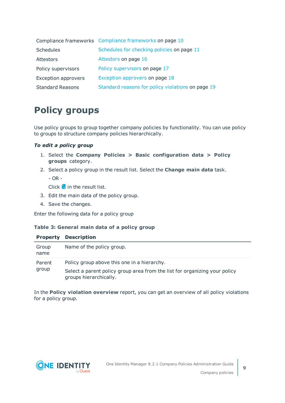|                            | Compliance frameworks Compliance frameworks on page 10 |
|----------------------------|--------------------------------------------------------|
| Schedules                  | Schedules for checking policies on page 11             |
| Attestors                  | Attestors on page 16                                   |
| Policy supervisors         | Policy supervisors on page 17                          |
| <b>Exception approvers</b> | Exception approvers on page 18                         |
| <b>Standard Reasons</b>    | Standard reasons for policy violations on page 19      |

## <span id="page-8-0"></span>**Policy groups**

Use policy groups to group together company policies by functionality. You can use policy to groups to structure company policies hierarchically.

### *To edit a policy group*

- 1. Select the **Company Policies > Basic configuration data > Policy groups** category.
- 2. Select a policy group in the result list. Select the **Change main data** task.
	- $-$  OR  $-$

 $Click \frac{1}{4}$  in the result list.

- 3. Edit the main data of the policy group.
- 4. Save the changes.

Enter the following data for a policy group

### **Table 3: General main data of a policy group**

| <b>Property</b> | <b>Description</b>                                                                                   |
|-----------------|------------------------------------------------------------------------------------------------------|
| Group<br>name   | Name of the policy group.                                                                            |
| Parent          | Policy group above this one in a hierarchy.                                                          |
| group           | Select a parent policy group area from the list for organizing your policy<br>groups hierarchically. |

In the **Policy violation overview** report, you can get an overview of all policy violations for a policy group.



**9**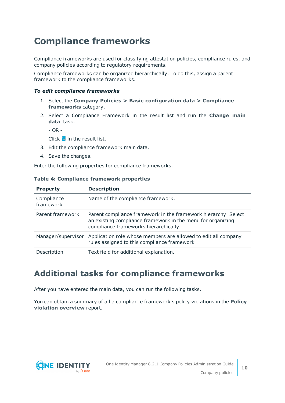## <span id="page-9-0"></span>**Compliance frameworks**

Compliance frameworks are used for classifying attestation policies, compliance rules, and company policies according to regulatory requirements.

Compliance frameworks can be organized hierarchically. To do this, assign a parent framework to the compliance frameworks.

#### *To edit compliance frameworks*

- 1. Select the **Company Policies > Basic configuration data > Compliance frameworks** category.
- 2. Select a Compliance Framework in the result list and run the **Change main data** task.

- OR -

Click  $\mathbf{f}$  in the result list.

- 3. Edit the compliance framework main data.
- 4. Save the changes.

Enter the following properties for compliance frameworks.

| <b>Property</b>         | <b>Description</b>                                                                                                                                                     |
|-------------------------|------------------------------------------------------------------------------------------------------------------------------------------------------------------------|
| Compliance<br>framework | Name of the compliance framework.                                                                                                                                      |
| Parent framework        | Parent compliance framework in the framework hierarchy. Select<br>an existing compliance framework in the menu for organizing<br>compliance frameworks hierarchically. |
| Manager/supervisor      | Application role whose members are allowed to edit all company<br>rules assigned to this compliance framework                                                          |
| Description             | Text field for additional explanation.                                                                                                                                 |

#### **Table 4: Compliance framework properties**

## <span id="page-9-1"></span>**Additional tasks for compliance frameworks**

After you have entered the main data, you can run the following tasks.

You can obtain a summary of all a compliance framework's policy violations in the **Policy violation overview** report.

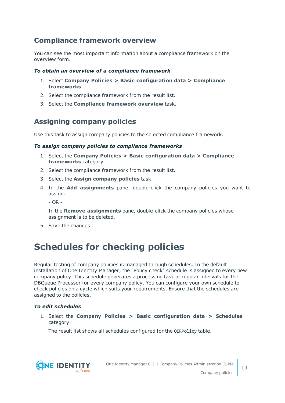## <span id="page-10-2"></span>**Compliance framework overview**

You can see the most important information about a compliance framework on the overview form.

## *To obtain an overview of a compliance framework*

- 1. Select **Company Policies > Basic configuration data > Compliance frameworks**.
- 2. Select the compliance framework from the result list.
- 3. Select the **Compliance framework overview** task.

## <span id="page-10-1"></span>**Assigning company policies**

Use this task to assign company policies to the selected compliance framework.

### *To assign company policies to compliance frameworks*

- 1. Select the **Company Policies > Basic configuration data > Compliance frameworks** category.
- 2. Select the compliance framework from the result list.
- 3. Select the **Assign company policies** task.
- 4. In the **Add assignments** pane, double-click the company policies you want to assign.
	- OR -

In the **Remove assignments** pane, double-click the company policies whose assignment is to be deleted.

<span id="page-10-0"></span>5. Save the changes.

## **Schedules for checking policies**

Regular testing of company policies is managed through schedules. In the default installation of One Identity Manager, the "Policy check" schedule is assigned to every new company policy. This schedule generates a processing task at regular intervals for the DBQueue Processor for every company policy. You can configure your own schedule to check policies on a cycle which suits your requirements. Ensure that the schedules are assigned to the policies.

## *To edit schedules*

1. Select the **Company Policies > Basic configuration data > Schedules** category.

The result list shows all schedules configured for the QERPolicy table.



**11**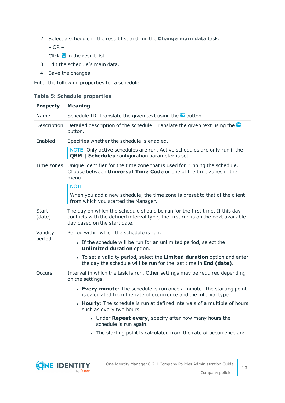2. Select a schedule in the result list and run the **Change main data** task.

– OR –

Click  $\mathbf{t}$  in the result list.

- 3. Edit the schedule's main data.
- 4. Save the changes.

Enter the following properties for a schedule.

## **Table 5: Schedule properties**

| <b>Property</b> | <b>Meaning</b>                                                                                                                                                                                  |
|-----------------|-------------------------------------------------------------------------------------------------------------------------------------------------------------------------------------------------|
| Name            | Schedule ID. Translate the given text using the <b>O</b> button.                                                                                                                                |
| Description     | Detailed description of the schedule. Translate the given text using the<br>button.                                                                                                             |
| Enabled         | Specifies whether the schedule is enabled.                                                                                                                                                      |
|                 | NOTE: Only active schedules are run. Active schedules are only run if the<br><b>QBM</b>   Schedules configuration parameter is set.                                                             |
| Time zones      | Unique identifier for the time zone that is used for running the schedule.<br>Choose between <b>Universal Time Code</b> or one of the time zones in the<br>menu.<br>NOTE:                       |
|                 | When you add a new schedule, the time zone is preset to that of the client<br>from which you started the Manager.                                                                               |
| Start<br>(date) | The day on which the schedule should be run for the first time. If this day<br>conflicts with the defined interval type, the first run is on the next available<br>day based on the start date. |
| Validity        | Period within which the schedule is run.                                                                                                                                                        |
| period          | • If the schedule will be run for an unlimited period, select the<br><b>Unlimited duration option.</b>                                                                                          |
|                 | • To set a validity period, select the Limited duration option and enter<br>the day the schedule will be run for the last time in End (date).                                                   |
| Occurs          | Interval in which the task is run. Other settings may be required depending<br>on the settings.                                                                                                 |
|                 | • Every minute: The schedule is run once a minute. The starting point<br>is calculated from the rate of occurrence and the interval type.                                                       |
|                 | • Hourly: The schedule is run at defined intervals of a multiple of hours<br>such as every two hours.                                                                                           |
|                 | • Under Repeat every, specify after how many hours the<br>schedule is run again.                                                                                                                |
|                 | • The starting point is calculated from the rate of occurrence and                                                                                                                              |



**12**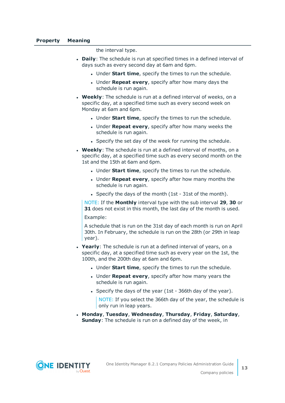the interval type.

- **Daily:** The schedule is run at specified times in a defined interval of days such as every second day at 6am and 6pm.
	- **.** Under **Start time**, specify the times to run the schedule.
	- **.** Under **Repeat every**, specify after how many days the schedule is run again.
- **. Weekly**: The schedule is run at a defined interval of weeks, on a specific day, at a specified time such as every second week on Monday at 6am and 6pm.
	- **.** Under **Start time**, specify the times to run the schedule.
	- **.** Under **Repeat every**, specify after how many weeks the schedule is run again.
	- Specify the set day of the week for running the schedule.
- **Weekly:** The schedule is run at a defined interval of months, on a specific day, at a specified time such as every second month on the 1st and the 15th at 6am and 6pm.
	- **.** Under **Start time**, specify the times to run the schedule.
	- <sup>l</sup> Under **Repeat every**, specify after how many months the schedule is run again.
	- Specify the days of the month (1st 31st of the month).

NOTE: If the **Monthly** interval type with the sub interval **29**, **30** or **31** does not exist in this month, the last day of the month is used. Example:

A schedule that is run on the 31st day of each month is run on April 30th. In February, the schedule is run on the 28th (or 29th in leap year).

- **Yearly**: The schedule is run at a defined interval of years, on a specific day, at a specified time such as every year on the 1st, the 100th, and the 200th day at 6am and 6pm.
	- **.** Under **Start time**, specify the times to run the schedule.
	- **.** Under **Repeat every**, specify after how many years the schedule is run again.
	- Specify the days of the year (1st 366th day of the year).

NOTE: If you select the 366th day of the year, the schedule is only run in leap years.

<sup>l</sup> **Monday**, **Tuesday**, **Wednesday**, **Thursday**, **Friday**, **Saturday**, **Sunday**: The schedule is run on a defined day of the week, in

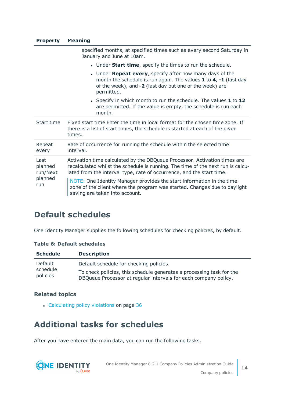### **Property Meaning**

|                                               | specified months, at specified times such as every second Saturday in<br>January and June at 10am.                                                                                                                                    |
|-----------------------------------------------|---------------------------------------------------------------------------------------------------------------------------------------------------------------------------------------------------------------------------------------|
|                                               | • Under <b>Start time</b> , specify the times to run the schedule.                                                                                                                                                                    |
|                                               | • Under <b>Repeat every</b> , specify after how many days of the<br>month the schedule is run again. The values $1$ to $4$ , $-1$ (last day<br>of the week), and -2 (last day but one of the week) are<br>permitted.                  |
|                                               | • Specify in which month to run the schedule. The values 1 to 12<br>are permitted. If the value is empty, the schedule is run each<br>month.                                                                                          |
| Start time                                    | Fixed start time Enter the time in local format for the chosen time zone. If<br>there is a list of start times, the schedule is started at each of the given<br>times.                                                                |
| Repeat<br>every                               | Rate of occurrence for running the schedule within the selected time<br>interval.                                                                                                                                                     |
| Last<br>planned<br>run/Next<br>planned<br>run | Activation time calculated by the DBQueue Processor. Activation times are<br>recalculated whilst the schedule is running. The time of the next run is calcu-<br>lated from the interval type, rate of occurrence, and the start time. |
|                                               | NOTE: One Identity Manager provides the start information in the time<br>zone of the client where the program was started. Changes due to daylight<br>saving are taken into account.                                                  |

## <span id="page-13-0"></span>**Default schedules**

One Identity Manager supplies the following schedules for checking policies, by default.

### **Table 6: Default schedules**

| <b>Schedule</b>      | <b>Description</b>                                                                                                                      |
|----------------------|-----------------------------------------------------------------------------------------------------------------------------------------|
| Default              | Default schedule for checking policies.                                                                                                 |
| schedule<br>policies | To check policies, this schedule generates a processing task for the<br>DBQueue Processor at regular intervals for each company policy. |

## **Related topics**

• [Calculating](#page-35-2) policy violations on page 36

## <span id="page-13-1"></span>**Additional tasks for schedules**

After you have entered the main data, you can run the following tasks.

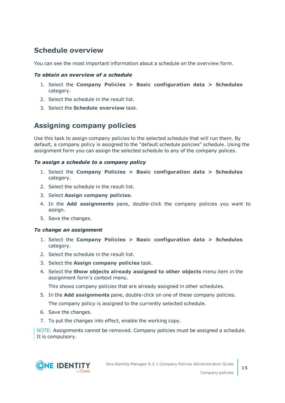## <span id="page-14-1"></span>**Schedule overview**

You can see the most important information about a schedule on the overview form.

## *To obtain an overview of a schedule*

- 1. Select the **Company Policies > Basic configuration data > Schedules** category.
- 2. Select the schedule in the result list.
- 3. Select the **Schedule overview** task.

## <span id="page-14-0"></span>**Assigning company policies**

Use this task to assign company policies to the selected schedule that will run them. By default, a company policy is assigned to the "default schedule policies" schedule. Using the assignment form you can assign the selected schedule to any of the company polices.

## *To assign a schedule to a company policy*

- 1. Select the **Company Policies > Basic configuration data > Schedules** category.
- 2. Select the schedule in the result list.
- 3. Select **Assign company policies**.
- 4. In the **Add assignments** pane, double-click the company policies you want to assign.
- 5. Save the changes.

### *To change an assignment*

- 1. Select the **Company Policies > Basic configuration data > Schedules** category.
- 2. Select the schedule in the result list.
- 3. Select the **Assign company policies** task.
- 4. Select the **Show objects already assigned to other objects** menu item in the assignment form's context menu.

This shows company policies that are already assigned in other schedules.

- 5. In the **Add assignments** pane, double-click on one of these company policies. The company policy is assigned to the currently selected schedule.
- 6. Save the changes.
- 7. To put the changes into effect, enable the working copy.

NOTE: Assignments cannot be removed. Company policies must be assigned a schedule. It is compulsory.

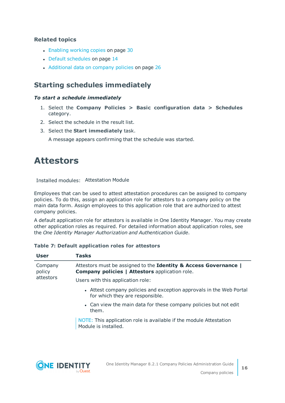## **Related topics**

- [Enabling](#page-29-0) working copies on page 30
- Default [schedules](#page-13-0) on page 14
- [Additional](#page-25-0) data on company policies on page 26

## <span id="page-15-1"></span>**Starting schedules immediately**

## *To start a schedule immediately*

- 1. Select the **Company Policies > Basic configuration data > Schedules** category.
- 2. Select the schedule in the result list.
- 3. Select the **Start immediately** task.

A message appears confirming that the schedule was started.

## <span id="page-15-0"></span>**Attestors**

Installed modules: Attestation Module

Employees that can be used to attest attestation procedures can be assigned to company policies. To do this, assign an application role for attestors to a company policy on the main data form. Assign employees to this application role that are authorized to attest company policies.

A default application role for attestors is available in One Identity Manager. You may create other application roles as required. For detailed information about application roles, see the *One Identity Manager Authorization and Authentication Guide*.

### **Table 7: Default application roles for attestors**

| <b>User</b>       | <b>Tasks</b>                                                                                                              |
|-------------------|---------------------------------------------------------------------------------------------------------------------------|
| Company<br>policy | Attestors must be assigned to the Identity & Access Governance  <br><b>Company policies   Attestors application role.</b> |
| attestors         | Users with this application role:                                                                                         |
|                   | • Attest company policies and exception approvals in the Web Portal<br>for which they are responsible.                    |
|                   | • Can view the main data for these company policies but not edit<br>them.                                                 |
|                   | NOTE: This application role is available if the module Attestation<br>Module is installed.                                |
|                   |                                                                                                                           |

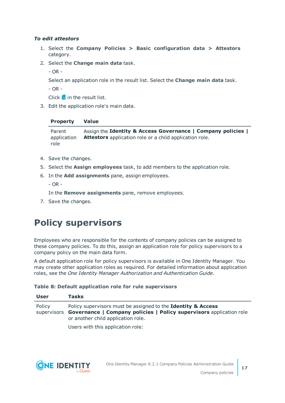## *To edit attestors*

- 1. Select the **Company Policies > Basic configuration data > Attestors** category.
- 2. Select the **Change main data** task.

- OR -

Select an application role in the result list. Select the **Change main data** task.

- OR -

Click  $\mathbf{1}$  in the result list.

3. Edit the application role's main data.

## **Property Value**

Parent application role Assign the **Identity & Access Governance | Company policies | Attestors** application role or a child application role.

- 4. Save the changes.
- 5. Select the **Assign employees** task, to add members to the application role.
- 6. In the **Add assignments** pane, assign employees.
	- $-$  OR  $-$

In the **Remove assignments** pane, remove employees.

<span id="page-16-0"></span>7. Save the changes.

## **Policy supervisors**

Employees who are responsible for the contents of company policies can be assigned to these company policies. To do this, assign an application role for policy supervisors to a company policy on the main data form.

A default application role for policy supervisors is available in One Identity Manager. You may create other application roles as required. For detailed information about application roles, see the *One Identity Manager Authorization and Authentication Guide*.

### **Table 8: Default application role for rule supervisors**

| <b>User</b> | <b>Tasks</b>                                                                                                                                                                                     |
|-------------|--------------------------------------------------------------------------------------------------------------------------------------------------------------------------------------------------|
| Policy      | Policy supervisors must be assigned to the <b>Identity &amp; Access</b><br>supervisors Governance   Company policies   Policy supervisors application role<br>or another child application role. |
|             | Heere with this annication $role$                                                                                                                                                                |

Users with this application role:

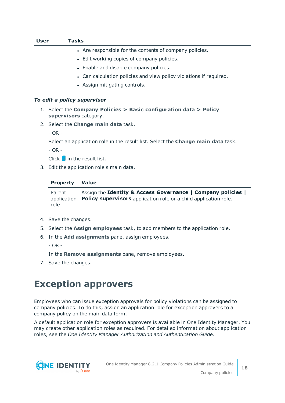| user | lasks                                                                                               |
|------|-----------------------------------------------------------------------------------------------------|
|      | • Are responsible for the contents of company policies.                                             |
|      | • Edit working copies of company policies.                                                          |
|      | • Enable and disable company policies.                                                              |
|      | • Can calculation policies and view policy violations if required.                                  |
|      | • Assign mitigating controls.                                                                       |
|      |                                                                                                     |
|      | To edit a policy supervisor                                                                         |
|      | 1. Select the Company Policies $>$ Basic configuration data $>$ Policy<br>supervisors category.     |
|      | 2. Select the <b>Change main data</b> task.                                                         |
|      | $- OR -$                                                                                            |
|      | Select an application role in the result list. Select the <b>Change main data</b> task.<br>$- OR -$ |
|      | Click $\mathbf{1}$ in the result list.                                                              |
|      | 3. Edit the application role's main data.                                                           |
|      | <b>Property</b><br><b>Value</b>                                                                     |

Parent application Policy supervisors application role or a child application role. role Assign the **Identity & Access Governance | Company policies |**

4. Save the changes.

**User Tasks**

- 5. Select the **Assign employees** task, to add members to the application role.
- 6. In the **Add assignments** pane, assign employees.
	- OR -

In the **Remove assignments** pane, remove employees.

<span id="page-17-0"></span>7. Save the changes.

## **Exception approvers**

Employees who can issue exception approvals for policy violations can be assigned to company policies. To do this, assign an application role for exception approvers to a company policy on the main data form.

A default application role for exception approvers is available in One Identity Manager. You may create other application roles as required. For detailed information about application roles, see the *One Identity Manager Authorization and Authentication Guide*.

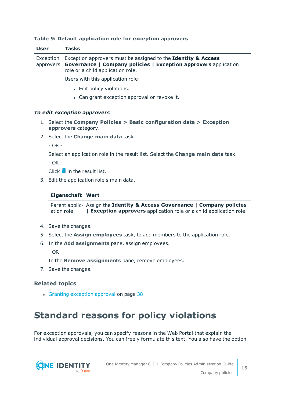| <b>User</b>           | <b>Tasks</b>                                                                                                                                                                    |
|-----------------------|---------------------------------------------------------------------------------------------------------------------------------------------------------------------------------|
| Exception             | Exception approvers must be assigned to the Identity & Access<br>approvers Governance   Company policies   Exception approvers application<br>role or a child application role. |
|                       | Users with this application role:                                                                                                                                               |
|                       | • Edit policy violations.                                                                                                                                                       |
|                       | • Can grant exception approval or revoke it.                                                                                                                                    |
|                       | To edit exception approvers                                                                                                                                                     |
|                       | 1. Select the Company Policies $>$ Basic configuration data $>$ Exception<br>approvers category.                                                                                |
|                       | 2. Select the <b>Change main data</b> task.                                                                                                                                     |
| $- OR -$              |                                                                                                                                                                                 |
|                       | Select an application role in the result list. Select the <b>Change main data</b> task.                                                                                         |
| $- OR -$              |                                                                                                                                                                                 |
|                       | Click $\mathbf{1}$ in the result list.                                                                                                                                          |
|                       | 3. Edit the application role's main data.                                                                                                                                       |
|                       | <b>Eigenschaft Wert</b>                                                                                                                                                         |
|                       | Parent applic- Assign the Identity & Access Governance   Company policies<br>ation role<br><b>  Exception approvers</b> application role or a child application role.           |
|                       | 4. Save the changes.                                                                                                                                                            |
|                       | 5. Select the <b>Assign employees</b> task, to add members to the application role.                                                                                             |
| 6.                    | In the Add assignments pane, assign employees.                                                                                                                                  |
| $- OR -$              |                                                                                                                                                                                 |
|                       | In the Remove assignments pane, remove employees.                                                                                                                               |
|                       | 7. Save the changes.                                                                                                                                                            |
| <b>Related topics</b> |                                                                                                                                                                                 |
|                       | • Granting exception approval on page 38                                                                                                                                        |
|                       |                                                                                                                                                                                 |
|                       | <b>Standard reasons for policy violations</b>                                                                                                                                   |

## **Table 9: Default application role for exception approvers**

<span id="page-18-0"></span>For exception approvals, you can specify reasons in the Web Portal that explain the individual approval decisions. You can freely formulate this text. You also have the option



**19**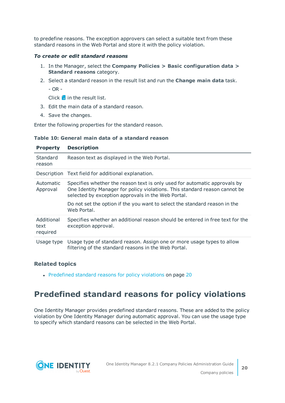to predefine reasons. The exception approvers can select a suitable text from these standard reasons in the Web Portal and store it with the policy violation.

#### *To create or edit standard reasons*

- 1. In the Manager, select the **Company Policies > Basic configuration data > Standard reasons** category.
- 2. Select a standard reason in the result list and run the **Change main data** task.
	- OR -

Click  $\mathbf{I}$  in the result list.

- 3. Edit the main data of a standard reason.
- 4. Save the changes.

Enter the following properties for the standard reason.

#### **Table 10: General main data of a standard reason**

| <b>Property</b>                | <b>Description</b>                                                                                                                                                                                                                                                                                         |
|--------------------------------|------------------------------------------------------------------------------------------------------------------------------------------------------------------------------------------------------------------------------------------------------------------------------------------------------------|
| Standard<br>reason             | Reason text as displayed in the Web Portal.                                                                                                                                                                                                                                                                |
|                                | Description Text field for additional explanation.                                                                                                                                                                                                                                                         |
| Automatic<br>Approval          | Specifies whether the reason text is only used for automatic approvals by<br>One Identity Manager for policy violations. This standard reason cannot be<br>selected by exception approvals in the Web Portal.<br>Do not set the option if the you want to select the standard reason in the<br>Web Portal. |
| Additional<br>text<br>required | Specifies whether an additional reason should be entered in free text for the<br>exception approval.                                                                                                                                                                                                       |
| Usage type                     | Usage type of standard reason. Assign one or more usage types to allow<br>filtering of the standard reasons in the Web Portal.                                                                                                                                                                             |

### **Related topics**

• [Predefined](#page-19-0) standard reasons for policy violations on page 20

## <span id="page-19-0"></span>**Predefined standard reasons for policy violations**

One Identity Manager provides predefined standard reasons. These are added to the policy violation by One Identity Manager during automatic approval. You can use the usage type to specify which standard reasons can be selected in the Web Portal.

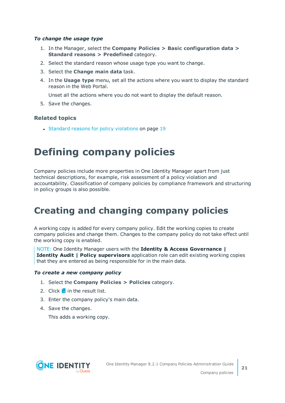#### *To change the usage type*

- 1. In the Manager, select the **Company Policies > Basic configuration data > Standard reasons > Predefined** category.
- 2. Select the standard reason whose usage type you want to change.
- 3. Select the **Change main data** task.
- 4. In the **Usage type** menu, set all the actions where you want to display the standard reason in the Web Portal.

Unset all the actions where you do not want to display the default reason.

5. Save the changes.

## **Related topics**

• Standard reasons for policy [violations](#page-18-0) on page 19

# <span id="page-20-0"></span>**Defining company policies**

Company policies include more properties in One Identity Manager apart from just technical descriptions, for example, risk assessment of a policy violation and accountability. Classification of company policies by compliance framework and structuring in policy groups is also possible.

## <span id="page-20-1"></span>**Creating and changing company policies**

A working copy is added for every company policy. Edit the working copies to create company policies and change them. Changes to the company policy do not take effect until the working copy is enabled.

NOTE: One Identity Manager users with the **Identity & Access Governance | Identity Audit | Policy supervisors** application role can edit existing working copies that they are entered as being responsible for in the main data.

#### <span id="page-20-2"></span>*To create a new company policy*

- 1. Select the **Company Policies > Policies** category.
- 2. Click  $\mathbf{r}$  in the result list.
- 3. Enter the company policy's main data.
- 4. Save the changes.

This adds a working copy.

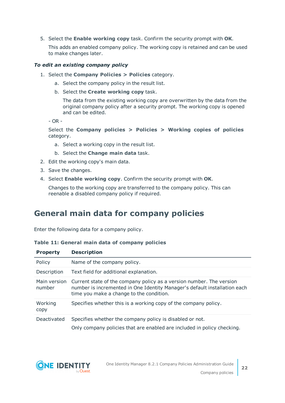5. Select the **Enable working copy** task. Confirm the security prompt with **OK**.

This adds an enabled company policy. The working copy is retained and can be used to make changes later.

#### <span id="page-21-1"></span>*To edit an existing company policy*

- 1. Select the **Company Policies > Policies** category.
	- a. Select the company policy in the result list.
	- b. Select the **Create working copy** task.

The data from the existing working copy are overwritten by the data from the original company policy after a security prompt. The working copy is opened and can be edited.

- OR -

Select the **Company policies > Policies > Working copies of policies** category.

- a. Select a working copy in the result list.
- b. Select the **Change main data** task.
- 2. Edit the working copy's main data.
- 3. Save the changes.
- 4. Select **Enable working copy**. Confirm the security prompt with **OK**.

Changes to the working copy are transferred to the company policy. This can reenable a disabled company policy if required.

## <span id="page-21-0"></span>**General main data for company policies**

Enter the following data for a company policy.

|  |  |  |  |  |  | Table 11: General main data of company policies |  |
|--|--|--|--|--|--|-------------------------------------------------|--|
|--|--|--|--|--|--|-------------------------------------------------|--|

| <b>Property</b>        | <b>Description</b>                                                                                                                                                                            |
|------------------------|-----------------------------------------------------------------------------------------------------------------------------------------------------------------------------------------------|
| Policy                 | Name of the company policy.                                                                                                                                                                   |
| Description            | Text field for additional explanation.                                                                                                                                                        |
| Main version<br>number | Current state of the company policy as a version number. The version<br>number is incremented in One Identity Manager's default installation each<br>time you make a change to the condition. |
| Working<br>copy        | Specifies whether this is a working copy of the company policy.                                                                                                                               |
| Deactivated            | Specifies whether the company policy is disabled or not.                                                                                                                                      |
|                        | Only company policies that are enabled are included in policy checking.                                                                                                                       |

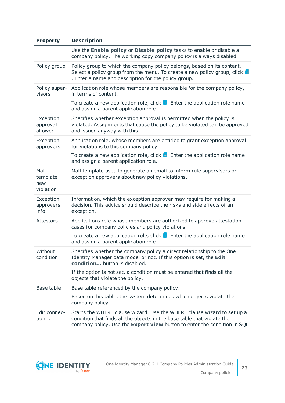| <b>Property</b>                      | <b>Description</b>                                                                                                                                                                                                             |
|--------------------------------------|--------------------------------------------------------------------------------------------------------------------------------------------------------------------------------------------------------------------------------|
|                                      | Use the Enable policy or Disable policy tasks to enable or disable a<br>company policy. The working copy company policy is always disabled.                                                                                    |
| Policy group                         | Policy group to which the company policy belongs, based on its content.<br>Select a policy group from the menu. To create a new policy group, click $\mathbf{F}$<br>. Enter a name and description for the policy group.       |
| Policy super-<br>visors              | Application role whose members are responsible for the company policy,<br>in terms of content.                                                                                                                                 |
|                                      | To create a new application role, click $\mathbf{L}$ . Enter the application role name<br>and assign a parent application role.                                                                                                |
| Exception<br>approval<br>allowed     | Specifies whether exception approval is permitted when the policy is<br>violated. Assignments that cause the policy to be violated can be approved<br>and issued anyway with this.                                             |
| Exception<br>approvers               | Application role, whose members are entitled to grant exception approval<br>for violations to this company policy.                                                                                                             |
|                                      | To create a new application role, click $\mathbf{L}$ . Enter the application role name<br>and assign a parent application role.                                                                                                |
| Mail<br>template<br>new<br>violation | Mail template used to generate an email to inform rule supervisors or<br>exception approvers about new policy violations.                                                                                                      |
| Exception<br>approvers<br>info       | Information, which the exception approver may require for making a<br>decision. This advice should describe the risks and side effects of an<br>exception.                                                                     |
| <b>Attestors</b>                     | Applications role whose members are authorized to approve attestation<br>cases for company policies and policy violations.                                                                                                     |
|                                      | To create a new application role, click $\mathbf{L}$ . Enter the application role name<br>and assign a parent application role.                                                                                                |
| Without<br>condition                 | Specifies whether the company policy a direct relationship to the One<br>Identity Manager data model or not. If this option is set, the Edit<br>condition button is disabled.                                                  |
|                                      | If the option is not set, a condition must be entered that finds all the<br>objects that violate the policy.                                                                                                                   |
| Base table                           | Base table referenced by the company policy.                                                                                                                                                                                   |
|                                      | Based on this table, the system determines which objects violate the<br>company policy.                                                                                                                                        |
| Edit connec-<br>tion                 | Starts the WHERE clause wizard. Use the WHERE clause wizard to set up a<br>condition that finds all the objects in the base table that violate the<br>company policy. Use the Expert view button to enter the condition in SQL |



**23**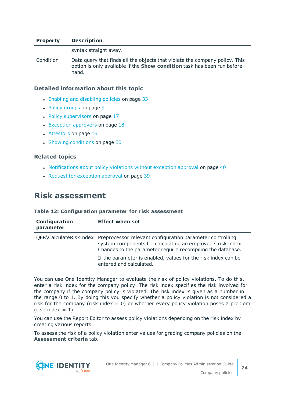#### **Property Description**

syntax straight away. Condition Data query that finds all the objects that violate the company policy. This option is only available if the **Show condition** task has been run beforehand.

#### **Detailed information about this topic**

- Enabling and [disabling](#page-32-0) policies on page 33
- Policy [groups](#page-8-0) on page 9
- $\cdot$  Policy [supervisors](#page-16-0) on page 17
- $\cdot$  Exception [approvers](#page-17-0) on page 18
- [Attestors](#page-15-0) on page 16
- Showing [conditions](#page-29-1) on page 30

#### **Related topics**

- [Notifications](#page-39-0) about policy violations without exception approval on page 40
- Request for [exception](#page-38-1) approval on page 39

## <span id="page-23-0"></span>**Risk assessment**

#### **Table 12: Configuration parameter for risk assessment**

| Configuration<br>parameter | <b>Effect when set</b>                                                                                                                                                                                        |
|----------------------------|---------------------------------------------------------------------------------------------------------------------------------------------------------------------------------------------------------------|
|                            | QER\CalculateRiskIndex Preprocessor relevant configuration parameter controlling<br>system components for calculating an employee's risk index.<br>Changes to the parameter require recompiling the database. |
|                            | If the parameter is enabled, values for the risk index can be<br>entered and calculated.                                                                                                                      |

You can use One Identity Manager to evaluate the risk of policy violations. To do this, enter a risk index for the company policy. The risk index specifies the risk involved for the company if the company policy is violated. The risk index is given as a number in the range 0 to 1. By doing this you specify whether a policy violation is not considered a risk for the company (risk index  $= 0$ ) or whether every policy violation poses a problem  $(risk index = 1).$ 

You can use the Report Editor to assess policy violations depending on the risk index by creating various reports.

To assess the risk of a policy violation enter values for grading company policies on the **Assessment criteria** tab.

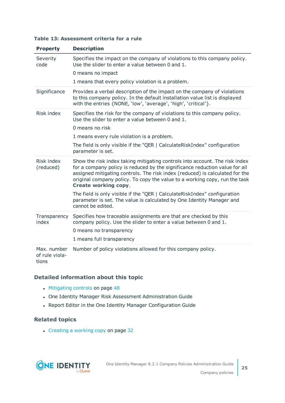| Table 13: Assessment criteria for a rule |  |
|------------------------------------------|--|
|------------------------------------------|--|

| <b>Property</b>                        | <b>Description</b>                                                                                                                                                                                                                                                                                                                                      |
|----------------------------------------|---------------------------------------------------------------------------------------------------------------------------------------------------------------------------------------------------------------------------------------------------------------------------------------------------------------------------------------------------------|
| Severity<br>code                       | Specifies the impact on the company of violations to this company policy.<br>Use the slider to enter a value between 0 and 1.                                                                                                                                                                                                                           |
|                                        | 0 means no impact                                                                                                                                                                                                                                                                                                                                       |
|                                        | 1 means that every policy violation is a problem.                                                                                                                                                                                                                                                                                                       |
| Significance                           | Provides a verbal description of the impact on the company of violations<br>to this company policy. In the default installation value list is displayed<br>with the entries {NONE, 'low', 'average', 'high', 'critical'}.                                                                                                                               |
| Risk index                             | Specifies the risk for the company of violations to this company policy.<br>Use the slider to enter a value between 0 and 1.                                                                                                                                                                                                                            |
|                                        | 0 means no risk                                                                                                                                                                                                                                                                                                                                         |
|                                        | 1 means every rule violation is a problem.                                                                                                                                                                                                                                                                                                              |
|                                        | The field is only visible if the "QER   CalculateRiskIndex" configuration<br>parameter is set.                                                                                                                                                                                                                                                          |
| Risk index<br>(reduced)                | Show the risk index taking mitigating controls into account. The risk index<br>for a company policy is reduced by the significance reduction value for all<br>assigned mitigating controls. The risk index (reduced) is calculated for the<br>original company policy. To copy the value to a working copy, run the task<br><b>Create working copy.</b> |
|                                        | The field is only visible if the "QER   CalculateRiskIndex" configuration<br>parameter is set. The value is calculated by One Identity Manager and<br>cannot be edited.                                                                                                                                                                                 |
| Transparency<br>index                  | Specifies how traceable assignments are that are checked by this<br>company policy. Use the slider to enter a value between 0 and 1.<br>0 means no transparency                                                                                                                                                                                         |
|                                        | 1 means full transparency                                                                                                                                                                                                                                                                                                                               |
| Max. number<br>of rule viola-<br>tions | Number of policy violations allowed for this company policy.                                                                                                                                                                                                                                                                                            |

## **Detailed information about this topic**

- [Mitigating](#page-47-0) controls on page 48
- One Identity Manager Risk Assessment Administration Guide
- Report Editor in the One Identity Manager Configuration Guide

## **Related topics**

• [Creating](#page-31-1) a working copy on page 32

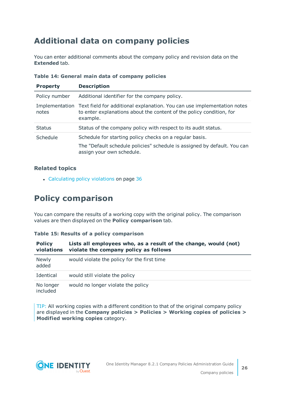## <span id="page-25-0"></span>**Additional data on company policies**

You can enter additional comments about the company policy and revision data on the **Extended** tab.

| <b>Property</b> | <b>Description</b>                                                                                                                                                         |
|-----------------|----------------------------------------------------------------------------------------------------------------------------------------------------------------------------|
| Policy number   | Additional identifier for the company policy.                                                                                                                              |
| notes           | Implementation Text field for additional explanation. You can use implementation notes<br>to enter explanations about the content of the policy condition, for<br>example. |
| <b>Status</b>   | Status of the company policy with respect to its audit status.                                                                                                             |
| Schedule        | Schedule for starting policy checks on a regular basis.<br>The "Default schedule policies" schedule is assigned by default. You can<br>assign your own schedule.           |

## **Table 14: General main data of company policies**

## **Related topics**

• [Calculating](#page-35-2) policy violations on page 36

## <span id="page-25-1"></span>**Policy comparison**

You can compare the results of a working copy with the original policy. The comparison values are then displayed on the **Policy comparison** tab.

### **Table 15: Results of a policy comparison**

| <b>Policy</b><br>violations | Lists all employees who, as a result of the change, would (not)<br>violate the company policy as follows |  |
|-----------------------------|----------------------------------------------------------------------------------------------------------|--|
| <b>Newly</b><br>added       | would violate the policy for the first time                                                              |  |
| Identical                   | would still violate the policy                                                                           |  |
| No longer<br>included       | would no longer violate the policy                                                                       |  |

TIP: All working copies with a different condition to that of the original company policy are displayed in the **Company policies > Policies > Working copies of policies > Modified working copies** category.



**26**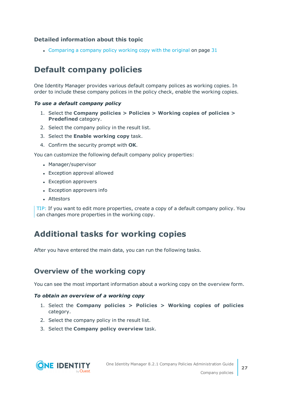## **Detailed information about this topic**

• [Comparing](#page-30-0) a company policy working copy with the original on page 31

## <span id="page-26-0"></span>**Default company policies**

One Identity Manager provides various default company polices as working copies. In order to include these company polices in the policy check, enable the working copies.

#### *To use a default company policy*

- 1. Select the **Company policies > Policies > Working copies of policies > Predefined** category.
- 2. Select the company policy in the result list.
- 3. Select the **Enable working copy** task.
- 4. Confirm the security prompt with **OK**.

You can customize the following default company policy properties:

- Manager/supervisor
- Exception approval allowed
- Exception approvers
- Exception approvers info
- Attestors

TIP: If you want to edit more properties, create a copy of a default company policy. You can changes more properties in the working copy.

## <span id="page-26-1"></span>**Additional tasks for working copies**

After you have entered the main data, you can run the following tasks.

## <span id="page-26-2"></span>**Overview of the working copy**

You can see the most important information about a working copy on the overview form.

#### *To obtain an overview of a working copy*

- 1. Select the **Company policies > Policies > Working copies of policies** category.
- 2. Select the company policy in the result list.
- 3. Select the **Company policy overview** task.

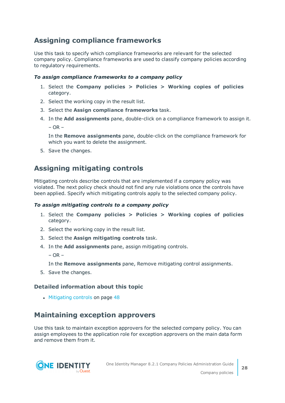## <span id="page-27-0"></span>**Assigning compliance frameworks**

Use this task to specify which compliance frameworks are relevant for the selected company policy. Compliance frameworks are used to classify company policies according to regulatory requirements.

## *To assign compliance frameworks to a company policy*

- 1. Select the **Company policies > Policies > Working copies of policies** category.
- 2. Select the working copy in the result list.
- 3. Select the **Assign compliance frameworks** task.
- 4. In the **Add assignments** pane, double-click on a compliance framework to assign it.  $-$  OR  $-$

In the **Remove assignments** pane, double-click on the compliance framework for which you want to delete the assignment.

5. Save the changes.

## <span id="page-27-2"></span>**Assigning mitigating controls**

Mitigating controls describe controls that are implemented if a company policy was violated. The next policy check should not find any rule violations once the controls have been applied. Specify which mitigating controls apply to the selected company policy.

### *To assign mitigating controls to a company policy*

- 1. Select the **Company policies > Policies > Working copies of policies** category.
- 2. Select the working copy in the result list.
- 3. Select the **Assign mitigating controls** task.
- 4. In the **Add assignments** pane, assign mitigating controls.

 $-$  OR  $-$ 

In the **Remove assignments** pane, Remove mitigating control assignments.

5. Save the changes.

## **Detailed information about this topic**

• [Mitigating](#page-47-0) controls on page 48

## <span id="page-27-1"></span>**Maintaining exception approvers**

Use this task to maintain exception approvers for the selected company policy. You can assign employees to the application role for exception approvers on the main data form and remove them from it.

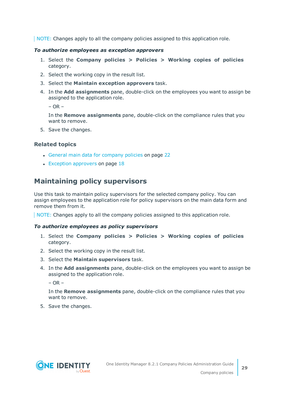NOTE: Changes apply to all the company policies assigned to this application role.

#### *To authorize employees as exception approvers*

- 1. Select the **Company policies > Policies > Working copies of policies** category.
- 2. Select the working copy in the result list.
- 3. Select the **Maintain exception approvers** task.
- 4. In the **Add assignments** pane, double-click on the employees you want to assign be assigned to the application role.

 $-$  OR  $-$ 

In the **Remove assignments** pane, double-click on the compliance rules that you want to remove.

5. Save the changes.

## **Related topics**

- General main data for [company](#page-21-0) policies on page 22
- $\cdot$  Exception [approvers](#page-17-0) on page 18

## <span id="page-28-0"></span>**Maintaining policy supervisors**

Use this task to maintain policy supervisors for the selected company policy. You can assign employees to the application role for policy supervisors on the main data form and remove them from it.

NOTE: Changes apply to all the company policies assigned to this application role.

#### *To authorize employees as policy supervisors*

- 1. Select the **Company policies > Policies > Working copies of policies** category.
- 2. Select the working copy in the result list.
- 3. Select the **Maintain supervisors** task.
- 4. In the **Add assignments** pane, double-click on the employees you want to assign be assigned to the application role.

 $-$  OR  $-$ 

In the **Remove assignments** pane, double-click on the compliance rules that you want to remove.

5. Save the changes.

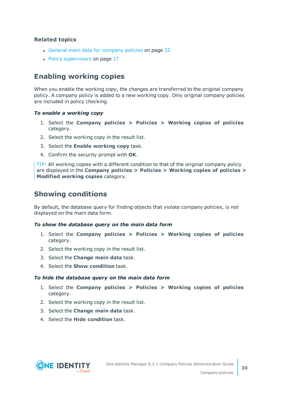## **Related topics**

- General main data for [company](#page-21-0) policies on page 22
- Policy [supervisors](#page-16-0) on page 17

## <span id="page-29-0"></span>**Enabling working copies**

When you enable the working copy, the changes are transferred to the original company policy. A company policy is added to a new working copy. Only original company policies are included in policy checking.

#### *To enable a working copy*

- 1. Select the **Company policies > Policies > Working copies of policies** category.
- 2. Select the working copy in the result list.
- 3. Select the **Enable working copy** task.
- 4. Confirm the security prompt with **OK**.

TIP: All working copies with a different condition to that of the original company policy are displayed in the **Company policies > Policies > Working copies of policies > Modified working copies** category.

## <span id="page-29-1"></span>**Showing conditions**

By default, the database query for finding objects that violate company policies, is not displayed on the main data form.

#### *To show the database query on the main data form*

- 1. Select the **Company policies > Policies > Working copies of policies** category.
- 2. Select the working copy in the result list.
- 3. Select the **Change main data** task.
- 4. Select the **Show condition** task.

#### *To hide the database query on the main data form*

- 1. Select the **Company policies > Policies > Working copies of policies** category.
- 2. Select the working copy in the result list.
- 3. Select the **Change main data** task.
- 4. Select the **Hide condition** task.



**30**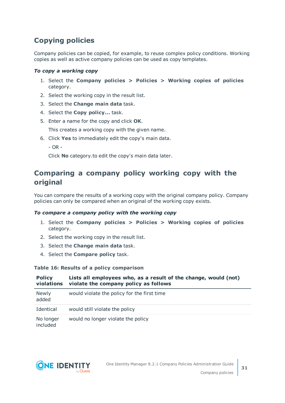## <span id="page-30-1"></span>**Copying policies**

Company policies can be copied, for example, to reuse complex policy conditions. Working copies as well as active company policies can be used as copy templates.

## *To copy a working copy*

- 1. Select the **Company policies > Policies > Working copies of policies** category.
- 2. Select the working copy in the result list.
- 3. Select the **Change main data** task.
- 4. Select the **Copy policy...** task.
- 5. Enter a name for the copy and click **OK**.

This creates a working copy with the given name.

- 6. Click **Yes** to immediately edit the copy's main data.
	- $-$  OR  $-$

Click **No** category.to edit the copy's main data later.

## <span id="page-30-0"></span>**Comparing a company policy working copy with the original**

You can compare the results of a working copy with the original company policy. Company policies can only be compared when an original of the working copy exists.

### *To compare a company policy with the working copy*

- 1. Select the **Company policies > Policies > Working copies of policies** category.
- 2. Select the working copy in the result list.
- 3. Select the **Change main data** task.
- 4. Select the **Compare policy** task.

### **Table 16: Results of a policy comparison**

| <b>Policy</b><br>violations | Lists all employees who, as a result of the change, would (not)<br>violate the company policy as follows |
|-----------------------------|----------------------------------------------------------------------------------------------------------|
| Newly<br>added              | would violate the policy for the first time                                                              |
| Identical                   | would still violate the policy                                                                           |
| No longer<br>included       | would no longer violate the policy                                                                       |

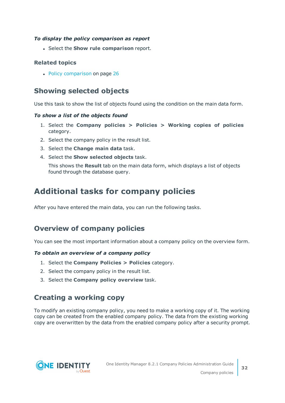## *To display the policy comparison as report*

<sup>l</sup> Select the **Show rule comparison** report.

## **Related topics**

• Policy [comparison](#page-25-1) on page 26

## <span id="page-31-3"></span>**Showing selected objects**

Use this task to show the list of objects found using the condition on the main data form.

## *To show a list of the objects found*

- 1. Select the **Company policies > Policies > Working copies of policies** category.
- 2. Select the company policy in the result list.
- 3. Select the **Change main data** task.
- 4. Select the **Show selected objects** task.

This shows the **Result** tab on the main data form, which displays a list of objects found through the database query.

## <span id="page-31-0"></span>**Additional tasks for company policies**

After you have entered the main data, you can run the following tasks.

## <span id="page-31-2"></span>**Overview of company policies**

You can see the most important information about a company policy on the overview form.

## *To obtain an overview of a company policy*

- 1. Select the **Company Policies > Policies** category.
- 2. Select the company policy in the result list.
- <span id="page-31-1"></span>3. Select the **Company policy overview** task.

## **Creating a working copy**

To modify an existing company policy, you need to make a working copy of it. The working copy can be created from the enabled company policy. The data from the existing working copy are overwritten by the data from the enabled company policy after a security prompt.



**32**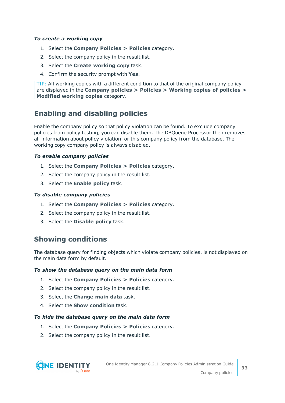#### *To create a working copy*

- 1. Select the **Company Policies > Policies** category.
- 2. Select the company policy in the result list.
- 3. Select the **Create working copy** task.
- 4. Confirm the security prompt with **Yes**.

TIP: All working copies with a different condition to that of the original company policy are displayed in the **Company policies > Policies > Working copies of policies > Modified working copies** category.

## <span id="page-32-0"></span>**Enabling and disabling policies**

Enable the company policy so that policy violation can be found. To exclude company policies from policy testing, you can disable them. The DBQueue Processor then removes all information about policy violation for this company policy from the database. The working copy company policy is always disabled.

#### *To enable company policies*

- 1. Select the **Company Policies > Policies** category.
- 2. Select the company policy in the result list.
- 3. Select the **Enable policy** task.

#### *To disable company policies*

- 1. Select the **Company Policies > Policies** category.
- 2. Select the company policy in the result list.
- 3. Select the **Disable policy** task.

## <span id="page-32-1"></span>**Showing conditions**

The database query for finding objects which violate company policies, is not displayed on the main data form by default.

#### *To show the database query on the main data form*

- 1. Select the **Company Policies > Policies** category.
- 2. Select the company policy in the result list.
- 3. Select the **Change main data** task.
- 4. Select the **Show condition** task.

#### *To hide the database query on the main data form*

- 1. Select the **Company Policies > Policies** category.
- 2. Select the company policy in the result list.

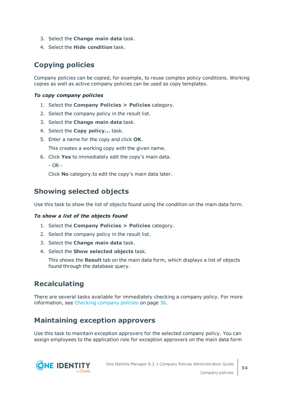- 3. Select the **Change main data** task.
- 4. Select the **Hide condition** task.

## <span id="page-33-2"></span>**Copying policies**

Company policies can be copied, for example, to reuse complex policy conditions. Working copies as well as active company policies can be used as copy templates.

## *To copy company policies*

- 1. Select the **Company Policies > Policies** category.
- 2. Select the company policy in the result list.
- 3. Select the **Change main data** task.
- 4. Select the **Copy policy...** task.
- 5. Enter a name for the copy and click **OK**.

This creates a working copy with the given name.

6. Click **Yes** to immediately edit the copy's main data.

- OR -

Click **No** category.to edit the copy's main data later.

## <span id="page-33-1"></span>**Showing selected objects**

Use this task to show the list of objects found using the condition on the main data form.

### *To show a list of the objects found*

- 1. Select the **Company Policies > Policies** category.
- 2. Select the company policy in the result list.
- 3. Select the **Change main data** task.
- 4. Select the **Show selected objects** task.

This shows the **Result** tab on the main data form, which displays a list of objects found through the database query.

## <span id="page-33-3"></span>**Recalculating**

There are several tasks available for immediately checking a company policy. For [more](#page-35-1) [information,](#page-35-1) see Checking company policies on page 36.

## <span id="page-33-0"></span>**Maintaining exception approvers**

Use this task to maintain exception approvers for the selected company policy. You can assign employees to the application role for exception approvers on the main data form

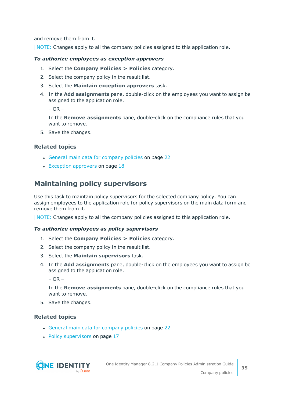and remove them from it.

NOTE: Changes apply to all the company policies assigned to this application role.

#### *To authorize employees as exception approvers*

- 1. Select the **Company Policies > Policies** category.
- 2. Select the company policy in the result list.
- 3. Select the **Maintain exception approvers** task.
- 4. In the **Add assignments** pane, double-click on the employees you want to assign be assigned to the application role.

 $-$  OR  $-$ 

In the **Remove assignments** pane, double-click on the compliance rules that you want to remove.

5. Save the changes.

### **Related topics**

- General main data for [company](#page-21-0) policies on page 22
- $\cdot$  Exception [approvers](#page-17-0) on page 18

## <span id="page-34-0"></span>**Maintaining policy supervisors**

Use this task to maintain policy supervisors for the selected company policy. You can assign employees to the application role for policy supervisors on the main data form and remove them from it.

NOTE: Changes apply to all the company policies assigned to this application role.

#### *To authorize employees as policy supervisors*

- 1. Select the **Company Policies > Policies** category.
- 2. Select the company policy in the result list.
- 3. Select the **Maintain supervisors** task.
- 4. In the **Add assignments** pane, double-click on the employees you want to assign be assigned to the application role.

 $-$  OR  $-$ 

In the **Remove assignments** pane, double-click on the compliance rules that you want to remove.

5. Save the changes.

### **Related topics**

- General main data for [company](#page-21-0) policies on page 22
- Policy [supervisors](#page-16-0) on page 17

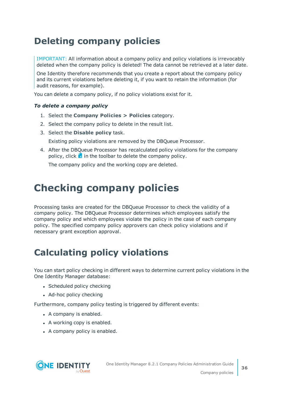## <span id="page-35-0"></span>**Deleting company policies**

IMPORTANT: All information about a company policy and policy violations is irrevocably deleted when the company policy is deleted! The data cannot be retrieved at a later date.

One Identity therefore recommends that you create a report about the company policy and its current violations before deleting it, if you want to retain the information (for audit reasons, for example).

You can delete a company policy, if no policy violations exist for it.

### *To delete a company policy*

- 1. Select the **Company Policies > Policies** category.
- 2. Select the company policy to delete in the result list.
- 3. Select the **Disable policy** task.
	- Existing policy violations are removed by the DBQueue Processor.
- 4. After the DBQueue Processor has recalculated policy violations for the company policy, click  $\mathbf{\hat{x}}$  in the toolbar to delete the company policy.

The company policy and the working copy are deleted.

## <span id="page-35-1"></span>**Checking company policies**

Processing tasks are created for the DBQueue Processor to check the validity of a company policy. The DBQueue Processor determines which employees satisfy the company policy and which employees violate the policy in the case of each company policy. The specified company policy approvers can check policy violations and if necessary grant exception approval.

## <span id="page-35-2"></span>**Calculating policy violations**

You can start policy checking in different ways to determine current policy violations in the One Identity Manager database:

- Scheduled policy checking
- Ad-hoc policy checking

Furthermore, company policy testing is triggered by different events:

- A company is enabled.
- A working copy is enabled.
- A company policy is enabled.

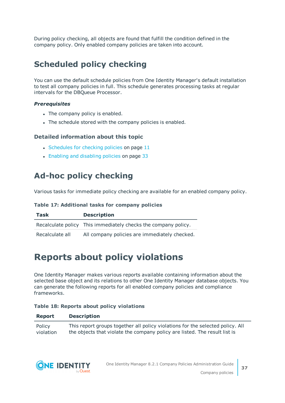During policy checking, all objects are found that fulfill the condition defined in the company policy. Only enabled company policies are taken into account.

## <span id="page-36-0"></span>**Scheduled policy checking**

You can use the default schedule policies from One Identity Manager's default installation to test all company policies in full. This schedule generates processing tasks at regular intervals for the DBQueue Processor.

### *Prerequisites*

- The company policy is enabled.
- The schedule stored with the company policies is enabled.

## **Detailed information about this topic**

- $\cdot$  [Schedules](#page-10-0) for checking policies on page 11
- Enabling and [disabling](#page-32-0) policies on page 33

## <span id="page-36-1"></span>**Ad-hoc policy checking**

Various tasks for immediate policy checking are available for an enabled company policy.

### **Table 17: Additional tasks for company policies**

| Task            | <b>Description</b>                                             |
|-----------------|----------------------------------------------------------------|
|                 | Recalculate policy This immediately checks the company policy. |
| Recalculate all | All company policies are immediately checked.                  |

## <span id="page-36-2"></span>**Reports about policy violations**

One Identity Manager makes various reports available containing information about the selected base object and its relations to other One Identity Manager database objects. You can generate the following reports for all enabled company policies and compliance frameworks.

### **Table 18: Reports about policy violations**

### **Report Description**

Policy violation This report groups together all policy violations for the selected policy. All the objects that violate the company policy are listed. The result list is

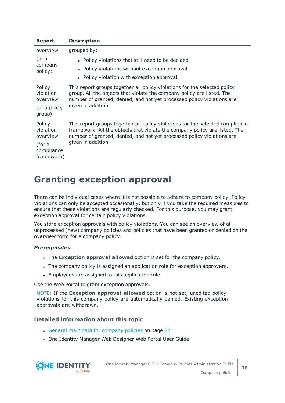| <b>Report</b>                                                         | <b>Description</b>                                                                                                                                                                                                                                          |
|-----------------------------------------------------------------------|-------------------------------------------------------------------------------------------------------------------------------------------------------------------------------------------------------------------------------------------------------------|
| overview<br>(of a<br>company<br>policy)                               | grouped by:<br>• Policy violations that still need to be decided<br>• Policy violations without exception approval<br>• Policy violation with exception approval                                                                                            |
| Policy<br>violation<br>overview<br>(of a policy<br>group)             | This report groups together all policy violations for the selected policy<br>group. All the objects that violate the company policy are listed. The<br>number of granted, denied, and not yet processed policy violations are<br>given in addition.         |
| Policy<br>violation<br>overview<br>(for a<br>compliance<br>framework) | This report groups together all policy violations for the selected compliance<br>framework. All the objects that violate the company policy are listed. The<br>number of granted, denied, and not yet processed policy violations are<br>given in addition. |

## <span id="page-37-0"></span>**Granting exception approval**

There can be individual cases where it is not possible to adhere to company policy. Policy violations can only be accepted occasionally, but only if you take the required measures to ensure that these violations are regularly checked. For this purpose, you may grant exception approval for certain policy violations.

You store exception approvals with policy violations. You can see an overview of all unprocessed (new) company policies and policies that have been granted or denied on the overview form for a company policy.

## *Prerequisites*

- **.** The **Exception approval allowed** option is set for the company policy.
- The company policy is assigned an application role for exception approvers.
- Employees are assigned to this application role.

Use the Web Portal to grant exception approvals.

NOTE: If the **Exception approval allowed** option is not set, unedited policy violations for this company policy are automatically denied. Existing exception approvals are withdrawn.

## **Detailed information about this topic**

- General main data for [company](#page-21-0) policies on page 22
- One Identity Manager Web Designer Web Portal User Guide

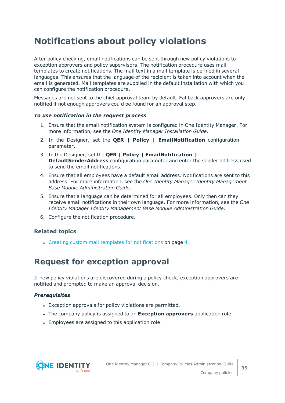## <span id="page-38-0"></span>**Notifications about policy violations**

After policy checking, email notifications can be sent through new policy violations to exception approvers and policy supervisors. The notification procedure uses mail templates to create notifications. The mail text in a mail template is defined in several languages. This ensures that the language of the recipient is taken into account when the email is generated. Mail templates are supplied in the default installation with which you can configure the notification procedure.

Messages are not sent to the chief approval team by default. Fallback approvers are only notified if not enough approvers could be found for an approval step.

### *To use notification in the request process*

- 1. Ensure that the email notification system is configured in One Identity Manager. For more information, see the *One Identity Manager Installation Guide*.
- 2. In the Designer, set the **QER | Policy | EmailNotification** configuration parameter.
- 3. In the Designer, set the **QER | Policy | EmailNotification | DefaultSenderAddress** configuration parameter and enter the sender address used to send the email notifications.
- 4. Ensure that all employees have a default email address. Notifications are sent to this address. For more information, see the *One Identity Manager Identity Management Base Module Administration Guide*.
- 5. Ensure that a language can be determined for all employees. Only then can they receive email notifications in their own language. For more information, see the *One Identity Manager Identity Management Base Module Administration Guide*.
- 6. Configure the notification procedure.

## **Related topics**

 $\cdot$  Creating custom mail templates for [notifications](#page-40-1) on page 41

## <span id="page-38-1"></span>**Request for exception approval**

If new policy violations are discovered during a policy check, exception approvers are notified and prompted to make an approval decision.

### *Prerequisites*

- Exception approvals for policy violations are permitted.
- <sup>l</sup> The company policy is assigned to an **Exception approvers** application role.
- Employees are assigned to this application role.

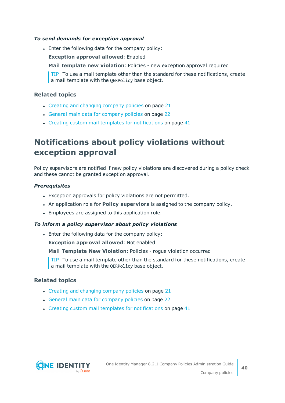#### *To send demands for exception approval*

• Enter the following data for the company policy:

**Exception approval allowed**: Enabled

**Mail template new violation**: Policies - new exception approval required

TIP: To use a mail template other than the standard for these notifications, create a mail template with the QERPolicy base object.

### **Related topics**

- Creating and changing [company](#page-20-1) policies on page 21
- General main data for [company](#page-21-0) policies on page 22
- Creating custom mail templates for [notifications](#page-40-1) on page 41

## <span id="page-39-0"></span>**Notifications about policy violations without exception approval**

Policy supervisors are notified if new policy violations are discovered during a policy check and these cannot be granted exception approval.

#### *Prerequisites*

- Exception approvals for policy violations are not permitted.
- <sup>l</sup> An application role for **Policy superviors** is assigned to the company policy.
- Employees are assigned to this application role.

### *To inform a policy supervisor about policy violations*

• Enter the following data for the company policy:

**Exception approval allowed**: Not enabled

**Mail Template New Violation**: Policies - rogue violation occurred

TIP: To use a mail template other than the standard for these notifications, create a mail template with the QERPolicy base object.

### **Related topics**

- $\cdot$  Creating and changing [company](#page-20-1) policies on page 21
- General main data for [company](#page-21-0) policies on page 22
- $\cdot$  Creating custom mail templates for [notifications](#page-40-1) on page 41

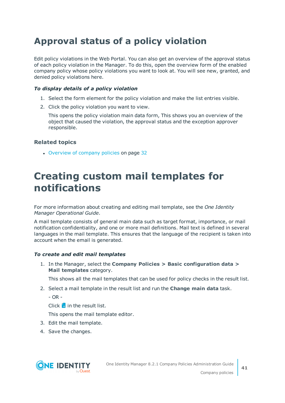## <span id="page-40-0"></span>**Approval status of a policy violation**

Edit policy violations in the Web Portal. You can also get an overview of the approval status of each policy violation in the Manager. To do this, open the overview form of the enabled company policy whose policy violations you want to look at. You will see new, granted, and denied policy violations here.

## *To display details of a policy violation*

- 1. Select the form element for the policy violation and make the list entries visible.
- 2. Click the policy violation you want to view.

This opens the policy violation main data form, This shows you an overview of the object that caused the violation, the approval status and the exception approver responsible.

## **Related topics**

• [Overview](#page-31-2) of company policies on page 32

## <span id="page-40-1"></span>**Creating custom mail templates for notifications**

For more information about creating and editing mail template, see the *One Identity Manager Operational Guide*.

A mail template consists of general main data such as target format, importance, or mail notification confidentiality, and one or more mail definitions. Mail text is defined in several languages in the mail template. This ensures that the language of the recipient is taken into account when the email is generated.

## *To create and edit mail templates*

1. In the Manager, select the **Company Policies > Basic configuration data > Mail templates** category.

This shows all the mail templates that can be used for policy checks in the result list.

- 2. Select a mail template in the result list and run the **Change main data** task.
	- $-$  OR  $-$

Click  $\pm$  in the result list.

This opens the mail template editor.

- 3. Edit the mail template.
- 4. Save the changes.

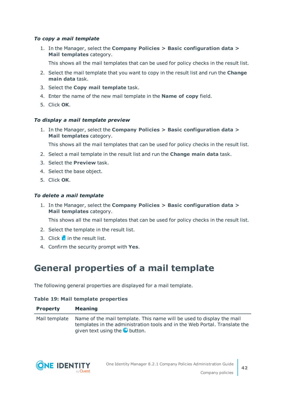### *To copy a mail template*

1. In the Manager, select the **Company Policies > Basic configuration data > Mail templates** category.

This shows all the mail templates that can be used for policy checks in the result list.

- 2. Select the mail template that you want to copy in the result list and run the **Change main data** task.
- 3. Select the **Copy mail template** task.
- 4. Enter the name of the new mail template in the **Name of copy** field.
- 5. Click **OK**.

#### *To display a mail template preview*

1. In the Manager, select the **Company Policies > Basic configuration data > Mail templates** category.

This shows all the mail templates that can be used for policy checks in the result list.

- 2. Select a mail template in the result list and run the **Change main data** task.
- 3. Select the **Preview** task.
- 4. Select the base object.
- 5. Click **OK**.

#### *To delete a mail template*

1. In the Manager, select the **Company Policies > Basic configuration data > Mail templates** category.

This shows all the mail templates that can be used for policy checks in the result list.

- 2. Select the template in the result list.
- 3. Click  $\mathbf{\hat{z}}$  in the result list.
- <span id="page-41-0"></span>4. Confirm the security prompt with **Yes**.

## **General properties of a mail template**

The following general properties are displayed for a mail template.

#### **Table 19: Mail template properties**

| <b>Property</b> | <b>Meaning</b>                                                                                                                                                                                             |
|-----------------|------------------------------------------------------------------------------------------------------------------------------------------------------------------------------------------------------------|
|                 | Mail template Name of the mail template. This name will be used to display the mail<br>templates in the administration tools and in the Web Portal. Translate the<br>given text using the <b>O</b> button. |

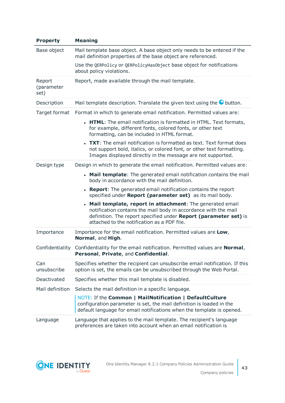| <b>Property</b>              | <b>Meaning</b>                                                                                                                                                                                                                                   |
|------------------------------|--------------------------------------------------------------------------------------------------------------------------------------------------------------------------------------------------------------------------------------------------|
| Base object                  | Mail template base object. A base object only needs to be entered if the<br>mail definition properties of the base object are referenced.                                                                                                        |
|                              | Use the QERPolicy or QERPolicyHasObject base object for notifications<br>about policy violations.                                                                                                                                                |
| Report<br>(parameter<br>set) | Report, made available through the mail template.                                                                                                                                                                                                |
| Description                  | Mail template description. Translate the given text using the $\bullet$ button.                                                                                                                                                                  |
| Target format                | Format in which to generate email notification. Permitted values are:                                                                                                                                                                            |
|                              | • HTML: The email notification is formatted in HTML. Text formats,<br>for example, different fonts, colored fonts, or other text<br>formatting, can be included in HTML format.                                                                  |
|                              | • TXT: The email notification is formatted as text. Text format does<br>not support bold, italics, or colored font, or other text formatting.<br>Images displayed directly in the message are not supported.                                     |
| Design type                  | Design in which to generate the email notification. Permitted values are:                                                                                                                                                                        |
|                              | • Mail template: The generated email notification contains the mail<br>body in accordance with the mail definition.                                                                                                                              |
|                              | <b>Report:</b> The generated email notification contains the report<br>specified under Report (parameter set) as its mail body.                                                                                                                  |
|                              | • Mail template, report in attachment: The generated email<br>notification contains the mail body in accordance with the mail<br>definition. The report specified under Report (parameter set) is<br>attached to the notification as a PDF file. |
| Importance                   | Importance for the email notification. Permitted values are Low,<br>Normal, and High.                                                                                                                                                            |
| Confidentiality              | Confidentiality for the email notification. Permitted values are Normal,<br>Personal, Private, and Confidential.                                                                                                                                 |
| Can<br>unsubscribe           | Specifies whether the recipient can unsubscribe email notification. If this<br>option is set, the emails can be unsubscribed through the Web Portal.                                                                                             |
| Deactivated                  | Specifies whether this mail template is disabled.                                                                                                                                                                                                |
| Mail definition              | Selects the mail definition in a specific language.                                                                                                                                                                                              |
|                              | NOTE: If the Common   MailNotification   DefaultCulture<br>configuration parameter is set, the mail definition is loaded in the<br>default language for email notifications when the template is opened.                                         |
| Language                     | Language that applies to the mail template. The recipient's language<br>preferences are taken into account when an email notification is                                                                                                         |

![](_page_42_Picture_1.jpeg)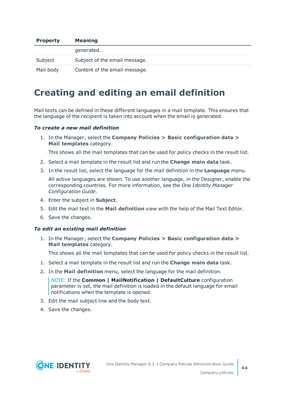| <b>Property</b> | <b>Meaning</b>                |
|-----------------|-------------------------------|
|                 | generated.                    |
| Subject         | Subject of the email message. |
| Mail body       | Content of the email message. |

## <span id="page-43-0"></span>**Creating and editing an email definition**

Mail texts can be defined in these different languages in a mail template. This ensures that the language of the recipient is taken into account when the email is generated.

#### *To create a new mail definition*

1. In the Manager, select the **Company Policies > Basic configuration data > Mail templates** category.

This shows all the mail templates that can be used for policy checks in the result list.

- 2. Select a mail template in the result list and run the **Change main data** task.
- 3. In the result list, select the language for the mail definition in the **Language** menu.

All active languages are shown. To use another language, in the Designer, enable the corresponding countries. For more information, see the *One Identity Manager Configuration Guide*.

- 4. Enter the subject in **Subject**.
- 5. Edit the mail text in the **Mail definition** view with the help of the Mail Text Editor.
- 6. Save the changes.

#### *To edit an existing mail definition*

1. In the Manager, select the **Company Policies > Basic configuration data > Mail templates** category.

This shows all the mail templates that can be used for policy checks in the result list.

- 1. Select a mail template in the result list and run the **Change main data** task.
- 2. In the **Mail definition** menu, select the language for the mail definition.

NOTE: If the **Common | MailNotification | DefaultCulture** configuration parameter is set, the mail definition is loaded in the default language for email notifications when the template is opened.

- 3. Edit the mail subject line and the body text.
- 4. Save the changes.

![](_page_43_Picture_20.jpeg)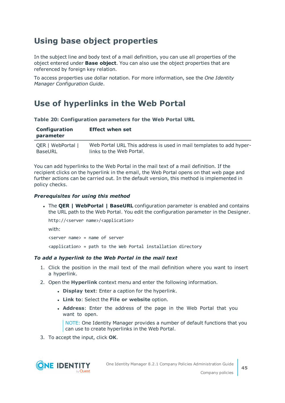## <span id="page-44-0"></span>**Using base object properties**

In the subject line and body text of a mail definition, you can use all properties of the object entered under **Base object**. You can also use the object properties that are referenced by foreign key relation.

To access properties use dollar notation. For more information, see the *One Identity Manager Configuration Guide*.

## <span id="page-44-1"></span>**Use of hyperlinks in the Web Portal**

**Table 20: Configuration parameters for the Web Portal URL**

| Configuration<br>parameter | <b>Effect when set</b>                                              |
|----------------------------|---------------------------------------------------------------------|
| QER   WebPortal            | Web Portal URL This address is used in mail templates to add hyper- |
| BaseURL                    | links to the Web Portal.                                            |

You can add hyperlinks to the Web Portal in the mail text of a mail definition. If the recipient clicks on the hyperlink in the email, the Web Portal opens on that web page and further actions can be carried out. In the default version, this method is implemented in policy checks.

### *Prerequisites for using this method*

<sup>l</sup> The **QER | WebPortal | BaseURL** configuration parameter is enabled and contains the URL path to the Web Portal. You edit the configuration parameter in the Designer.

```
http://<server name>/<application>
with:
<server name> = name of server
```
<application> = path to the Web Portal installation directory

### *To add a hyperlink to the Web Portal in the mail text*

- 1. Click the position in the mail text of the mail definition where you want to insert a hyperlink.
- 2. Open the **Hyperlink** context menu and enter the following information.
	- **.** Display text: Enter a caption for the hyperlink.
	- <sup>l</sup> **Link to**: Select the **File or website** option.
	- **. Address:** Enter the address of the page in the Web Portal that you want to open.

NOTE: One Identity Manager provides a number of default functions that you can use to create hyperlinks in the Web Portal.

3. To accept the input, click **OK**.

![](_page_44_Picture_19.jpeg)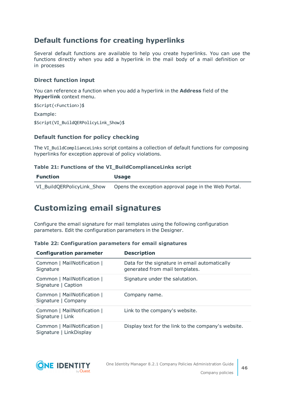## **Default functions for creating hyperlinks**

Several default functions are available to help you create hyperlinks. You can use the functions directly when you add a hyperlink in the mail body of a mail definition or in processes

## **Direct function input**

You can reference a function when you add a hyperlink in the **Address** field of the **Hyperlink** context menu.

```
$Script(<Function>)$
Example:
$Script(VI_BuildQERPolicyLink_Show)$
```
## **Default function for policy checking**

The VI\_BuildComplianceLinks script contains a collection of default functions for composing hyperlinks for exception approval of policy violations.

### **Table 21: Functions of the VI\_BuildComplianceLinks script**

| Function                   | <b>Usage</b>                                         |
|----------------------------|------------------------------------------------------|
| VI BuildQERPolicyLink Show | Opens the exception approval page in the Web Portal. |

## <span id="page-45-0"></span>**Customizing email signatures**

Configure the email signature for mail templates using the following configuration parameters. Edit the configuration parameters in the Designer.

|  |  | Table 22: Configuration parameters for email signatures |  |  |  |  |
|--|--|---------------------------------------------------------|--|--|--|--|
|--|--|---------------------------------------------------------|--|--|--|--|

| <b>Configuration parameter</b>                         | <b>Description</b>                                                              |
|--------------------------------------------------------|---------------------------------------------------------------------------------|
| Common   MailNotification  <br>Signature               | Data for the signature in email automatically<br>generated from mail templates. |
| Common   MailNotification  <br>Signature   Caption     | Signature under the salutation.                                                 |
| Common   MailNotification  <br>Signature   Company     | Company name.                                                                   |
| Common   MailNotification  <br>Signature   Link        | Link to the company's website.                                                  |
| Common   MailNotification  <br>Signature   LinkDisplay | Display text for the link to the company's website.                             |

![](_page_45_Picture_13.jpeg)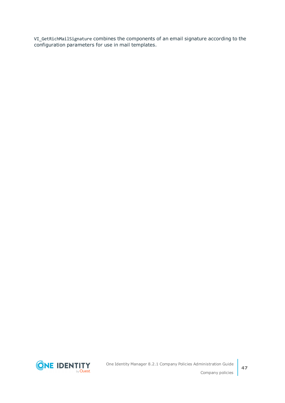VI\_GetRichMailSignature combines the components of an email signature according to the configuration parameters for use in mail templates.

![](_page_46_Picture_1.jpeg)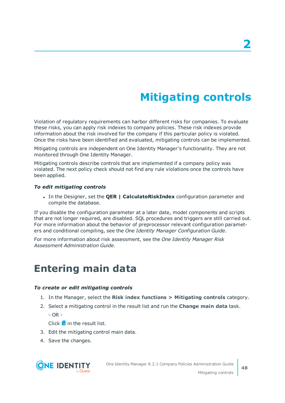# **Mitigating controls**

<span id="page-47-0"></span>Violation of regulatory requirements can harbor different risks for companies. To evaluate these risks, you can apply risk indexes to company policies. These risk indexes provide information about the risk involved for the company if this particular policy is violated. Once the risks have been identified and evaluated, mitigating controls can be implemented.

Mitigating controls are independent on One Identity Manager's functionality. They are not monitored through One Identity Manager.

Mitigating controls describe controls that are implemented if a company policy was violated. The next policy check should not find any rule violations once the controls have been applied.

#### *To edit mitigating controls*

<sup>l</sup> In the Designer, set the **QER | CalculateRiskIndex** configuration parameter and compile the database.

If you disable the configuration parameter at a later date, model components and scripts that are not longer required, are disabled. SQL procedures and triggers are still carried out. For more information about the behavior of preprocessor relevant configuration parameters and conditional compiling, see the *One Identity Manager Configuration Guide*.

For more information about risk assessment, see the *One Identity Manager Risk Assessment Administration Guide*.

## <span id="page-47-1"></span>**Entering main data**

#### *To create or edit mitigating controls*

- 1. In the Manager, select the **Risk index functions > Mitigating controls** category.
- 2. Select a mitigating control in the result list and run the **Change main data** task.
	- $OR -$

Click  $\frac{1}{2}$  in the result list.

- 3. Edit the mitigating control main data.
- 4. Save the changes.

![](_page_47_Picture_17.jpeg)

**48**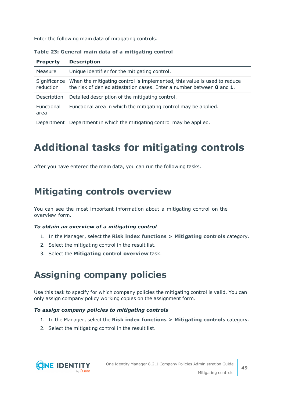Enter the following main data of mitigating controls.

| Table 23: General main data of a mitigating control |  |  |  |  |  |
|-----------------------------------------------------|--|--|--|--|--|
|-----------------------------------------------------|--|--|--|--|--|

| <b>Property</b>           | <b>Description</b>                                                                                                                                |
|---------------------------|---------------------------------------------------------------------------------------------------------------------------------------------------|
| Measure                   | Unique identifier for the mitigating control.                                                                                                     |
| Significance<br>reduction | When the mitigating control is implemented, this value is used to reduce<br>the risk of denied attestation cases. Enter a number between 0 and 1. |
| Description               | Detailed description of the mitigating control.                                                                                                   |
| <b>Functional</b><br>area | Functional area in which the mitigating control may be applied.                                                                                   |

<span id="page-48-0"></span>Department Department in which the mitigating control may be applied.

# **Additional tasks for mitigating controls**

After you have entered the main data, you can run the following tasks.

## <span id="page-48-1"></span>**Mitigating controls overview**

You can see the most important information about a mitigating control on the overview form.

### *To obtain an overview of a mitigating control*

- 1. In the Manager, select the **Risk index functions > Mitigating controls** category.
- 2. Select the mitigating control in the result list.
- <span id="page-48-2"></span>3. Select the **Mitigating control overview** task.

## **Assigning company policies**

Use this task to specify for which company policies the mitigating control is valid. You can only assign company policy working copies on the assignment form.

### *To assign company policies to mitigating controls*

- 1. In the Manager, select the **Risk index functions > Mitigating controls** category.
- 2. Select the mitigating control in the result list.

![](_page_48_Picture_17.jpeg)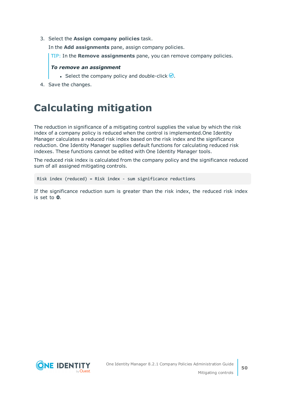3. Select the **Assign company policies** task.

In the **Add assignments** pane, assign company policies.

TIP: In the **Remove assignments** pane, you can remove company policies.

#### *To remove an assignment*

- **Select the company policy and double-click**  $\odot$ **.**
- <span id="page-49-0"></span>4. Save the changes.

## **Calculating mitigation**

The reduction in significance of a mitigating control supplies the value by which the risk index of a company policy is reduced when the control is implemented.One Identity Manager calculates a reduced risk index based on the risk index and the significance reduction. One Identity Manager supplies default functions for calculating reduced risk indexes. These functions cannot be edited with One Identity Manager tools.

The reduced risk index is calculated from the company policy and the significance reduced sum of all assigned mitigating controls.

Risk index (reduced) = Risk index - sum significance reductions

If the significance reduction sum is greater than the risk index, the reduced risk index is set to **0**.

![](_page_49_Picture_11.jpeg)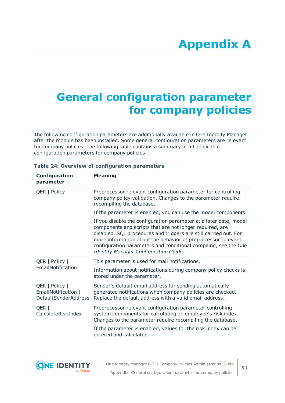# <span id="page-50-0"></span>**Appendix:General configuration parameter for company policies**

The following configuration parameters are additionally available in One Identity Manager after the module has been installed. Some general configuration parameters are relevant for company policies. The following table contains a summary of all applicable configuration parameters for company policies.

| <b>Configuration</b><br>parameter                                    | <b>Meaning</b>                                                                                                                                                                                                                                                                                                                                                                |
|----------------------------------------------------------------------|-------------------------------------------------------------------------------------------------------------------------------------------------------------------------------------------------------------------------------------------------------------------------------------------------------------------------------------------------------------------------------|
| QER   Policy                                                         | Preprocessor relevant configuration parameter for controlling<br>company policy validation. Changes to the parameter require<br>recompiling the database.                                                                                                                                                                                                                     |
|                                                                      | If the parameter is enabled, you can use the model components.                                                                                                                                                                                                                                                                                                                |
|                                                                      | If you disable the configuration parameter at a later date, model<br>components and scripts that are not longer required, are<br>disabled. SQL procedures and triggers are still carried out. For<br>more information about the behavior of preprocessor relevant<br>configuration parameters and conditional compiling, see the One<br>Identity Manager Configuration Guide. |
| QER   Policy  <br>EmailNotification                                  | This parameter is used for mail notifications.                                                                                                                                                                                                                                                                                                                                |
|                                                                      | Information about notifications during company policy checks is<br>stored under the parameter.                                                                                                                                                                                                                                                                                |
| QER   Policy  <br>EmailNotification  <br><b>DefaultSenderAddress</b> | Sender's default email address for sending automatically<br>generated notifications when company policies are checked.<br>Replace the default address with a valid email address.                                                                                                                                                                                             |
| QER  <br>CalculateRiskIndex                                          | Preprocessor relevant configuration parameter controlling<br>system components for calculating an employee's risk index.<br>Changes to the parameter require recompiling the database.                                                                                                                                                                                        |
|                                                                      | If the parameter is enabled, values for the risk index can be<br>entered and calculated.                                                                                                                                                                                                                                                                                      |

#### **Table 24: Overview of configuration parameters**

![](_page_50_Picture_5.jpeg)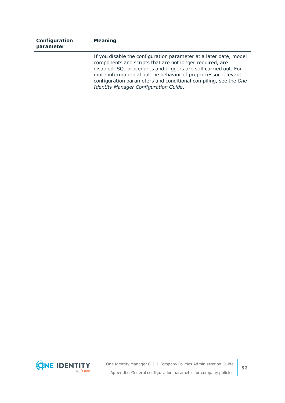| Configuration<br>parameter | <b>Meaning</b>                                                                                                                                                                                                                                                                                                                                                                |
|----------------------------|-------------------------------------------------------------------------------------------------------------------------------------------------------------------------------------------------------------------------------------------------------------------------------------------------------------------------------------------------------------------------------|
|                            | If you disable the configuration parameter at a later date, model<br>components and scripts that are not longer required, are<br>disabled. SQL procedures and triggers are still carried out. For<br>more information about the behavior of preprocessor relevant<br>configuration parameters and conditional compiling, see the One<br>Identity Manager Configuration Guide. |

![](_page_51_Picture_1.jpeg)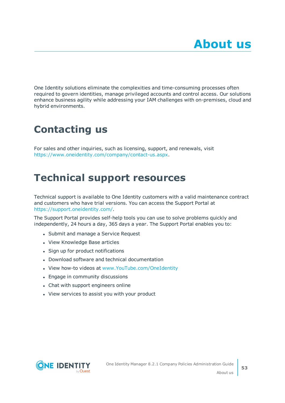<span id="page-52-0"></span>One Identity solutions eliminate the complexities and time-consuming processes often required to govern identities, manage privileged accounts and control access. Our solutions enhance business agility while addressing your IAM challenges with on-premises, cloud and hybrid environments.

# <span id="page-52-1"></span>**Contacting us**

For sales and other inquiries, such as licensing, support, and renewals, visit <https://www.oneidentity.com/company/contact-us.aspx>.

## <span id="page-52-2"></span>**Technical support resources**

Technical support is available to One Identity customers with a valid maintenance contract and customers who have trial versions. You can access the Support Portal at [https://support.oneidentity.com/.](https://support.oneidentity.com/)

The Support Portal provides self-help tools you can use to solve problems quickly and independently, 24 hours a day, 365 days a year. The Support Portal enables you to:

- Submit and manage a Service Request
- View Knowledge Base articles
- Sign up for product notifications
- Download software and technical documentation
- View how-to videos at [www.YouTube.com/OneIdentity](http://www.youtube.com/OneIdentity)
- Engage in community discussions
- Chat with support engineers online
- View services to assist you with your product

![](_page_52_Picture_15.jpeg)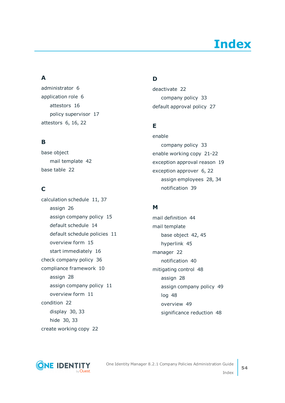# **Index**

## <span id="page-53-0"></span>**A**

administrator [6](#page-5-0) application role [6](#page-5-0) attestors [16](#page-15-0) policy supervisor [17](#page-16-0) attestors [6](#page-5-0), [16](#page-15-0), [22](#page-21-0)

## **B**

base object mail template [42](#page-41-0) base table [22](#page-21-0)

## **C**

calculation schedule [11](#page-10-0), [37](#page-36-0) assign [26](#page-25-0) assign company policy [15](#page-14-0) default schedule [14](#page-13-0) default schedule policies [11](#page-10-0) overview form [15](#page-14-1) start immediately [16](#page-15-1) check company policy [36](#page-35-2) compliance framework [10](#page-9-0) assign [28](#page-27-0) assign company policy [11](#page-10-1) overview form [11](#page-10-2) condition [22](#page-21-0) display [30,](#page-29-1) [33](#page-32-1) hide [30](#page-29-1), [33](#page-32-1) create working copy [22](#page-21-1)

## **D**

deactivate [22](#page-21-0) company policy [33](#page-32-0) default approval policy [27](#page-26-0)

## **E**

enable company policy [33](#page-32-0) enable working copy [21-22](#page-20-2) exception approval reason [19](#page-18-0) exception approver [6,](#page-5-0) [22](#page-21-0) assign employees [28](#page-27-1), [34](#page-33-0) notification [39](#page-38-1)

## **M**

mail definition [44](#page-43-0) mail template base object [42,](#page-41-0) [45](#page-44-0) hyperlink [45](#page-44-1) manager [22](#page-21-0) notification [40](#page-39-0) mitigating control [48](#page-47-0) assign [28](#page-27-2) assign company policy [49](#page-48-2) log [48](#page-47-1) overview [49](#page-48-1) significance reduction [48](#page-47-1)

![](_page_53_Picture_13.jpeg)